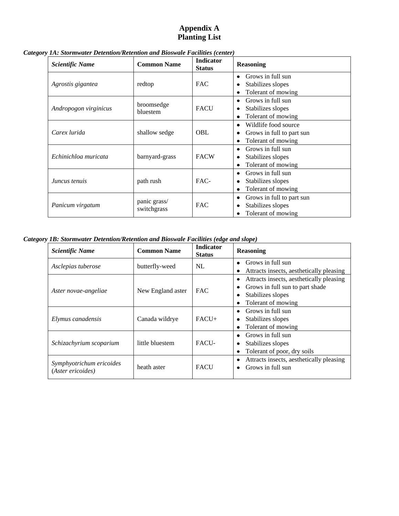## **Appendix A Planting List**

| <b>Scientific Name</b> | <b>Common Name</b>                    | <b>Indicator</b><br><b>Status</b> | <b>Reasoning</b>               |
|------------------------|---------------------------------------|-----------------------------------|--------------------------------|
|                        |                                       |                                   | Grows in full sun<br>٠         |
| Agrostis gigantea      | redtop                                | <b>FAC</b>                        | Stabilizes slopes<br>٠         |
|                        |                                       |                                   | Tolerant of mowing<br>٠        |
|                        | broomsedge<br><b>FACU</b><br>bluestem |                                   | Grows in full sun<br>٠         |
| Andropogon virginicus  |                                       |                                   | Stabilizes slopes<br>٠         |
|                        |                                       |                                   | Tolerant of mowing<br>٠        |
| Carex lurida           | shallow sedge                         | <b>OBL</b>                        | Wildlife food source<br>٠      |
|                        |                                       |                                   | Grows in full to part sun<br>٠ |
|                        |                                       |                                   | Tolerant of mowing<br>٠        |
|                        | barnyard-grass                        | <b>FACW</b>                       | Grows in full sun<br>٠         |
| Echinichloa muricata   |                                       |                                   | Stabilizes slopes<br>٠         |
|                        |                                       |                                   | Tolerant of mowing<br>٠        |
| Juncus tenuis          | path rush                             | FAC-                              | Grows in full sun<br>٠         |
|                        |                                       |                                   | Stabilizes slopes<br>٠         |
|                        |                                       |                                   | Tolerant of mowing<br>٠        |
|                        | panic grass/                          | <b>FAC</b>                        | Grows in full to part sun<br>٠ |
| Panicum virgatum       |                                       |                                   | Stabilizes slopes<br>٠         |
| switchgrass            |                                       | Tolerant of mowing                |                                |

*Category 1A: Stormwater Detention/Retention and Bioswale Facilities (center)*

*Category 1B: Stormwater Detention/Retention and Bioswale Facilities (edge and slope)*

| Scientific Name                               | <b>Common Name</b> | <b>Indicator</b><br><b>Status</b> | <b>Reasoning</b>                                                                                                                 |
|-----------------------------------------------|--------------------|-----------------------------------|----------------------------------------------------------------------------------------------------------------------------------|
| Asclepias tuberose                            | butterfly-weed     | NL                                | Grows in full sun<br>Attracts insects, aesthetically pleasing                                                                    |
| Aster novae-angeliae                          | New England aster  | <b>FAC</b>                        | Attracts insects, aesthetically pleasing<br>٠<br>Grows in full sun to part shade<br>Stabilizes slopes<br>٠<br>Tolerant of mowing |
| Elymus canadensis                             | Canada wildrye     | $FACT+$                           | Grows in full sun<br>٠<br>Stabilizes slopes<br>٠<br>Tolerant of mowing                                                           |
| Schizachyrium scoparium                       | little bluestem    | <b>FACU-</b>                      | Grows in full sun<br>Stabilizes slopes<br>٠<br>Tolerant of poor, dry soils<br>٠                                                  |
| Symphyotrichum ericoides<br>(Aster ericoides) | heath aster        | <b>FACU</b>                       | Attracts insects, aesthetically pleasing<br>Grows in full sun<br>٠                                                               |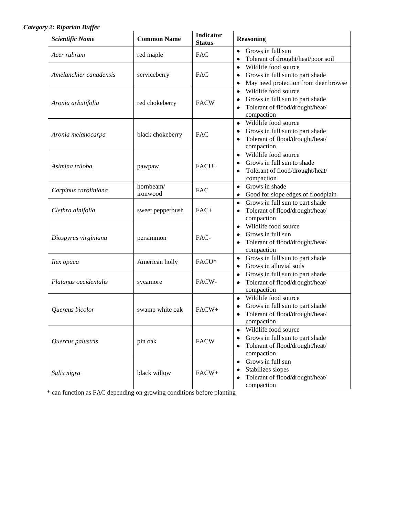## *Category 2: Riparian Buffer*

| <b>Scientific Name</b> | <b>Common Name</b>    | <b>Indicator</b><br><b>Status</b> | <b>Reasoning</b>                                                                                                                |
|------------------------|-----------------------|-----------------------------------|---------------------------------------------------------------------------------------------------------------------------------|
| Acer rubrum            | red maple             | FAC                               | Grows in full sun<br>$\bullet$<br>Tolerant of drought/heat/poor soil                                                            |
| Amelanchier canadensis | serviceberry          | FAC                               | Wildlife food source<br>$\bullet$<br>Grows in full sun to part shade<br>May need protection from deer browse<br>٠               |
| Aronia arbutifolia     | red chokeberry        | <b>FACW</b>                       | Wildlife food source<br>$\bullet$<br>Grows in full sun to part shade<br>Tolerant of flood/drought/heat/<br>compaction           |
| Aronia melanocarpa     | black chokeberry      | <b>FAC</b>                        | Wildlife food source<br>$\bullet$<br>Grows in full sun to part shade<br>٠<br>Tolerant of flood/drought/heat/<br>٠<br>compaction |
| Asimina triloba        | pawpaw                | FACU+                             | Wildlife food source<br>$\bullet$<br>Grows in full sun to shade<br>٠<br>Tolerant of flood/drought/heat/<br>٠<br>compaction      |
| Carpinus caroliniana   | hornbeam/<br>ironwood | FAC                               | Grows in shade<br>$\bullet$<br>Good for slope edges of floodplain<br>٠                                                          |
| Clethra alnifolia      | sweet pepperbush      | $FAC+$                            | Grows in full sun to part shade<br>٠<br>Tolerant of flood/drought/heat/<br>compaction                                           |
| Diospyrus virginiana   | persimmon             | FAC-                              | Wildlife food source<br>$\bullet$<br>Grows in full sun<br>Tolerant of flood/drought/heat/<br>compaction                         |
| Ilex opaca             | American holly        | FACU*                             | Grows in full sun to part shade<br>٠<br>Grows in alluvial soils<br>٠                                                            |
| Platanus occidentalis  | sycamore              | FACW-                             | Grows in full sun to part shade<br>٠<br>Tolerant of flood/drought/heat/<br>compaction                                           |
| Quercus bicolor        | swamp white oak       | FACW+                             | Wildlife food source<br>$\bullet$<br>Grows in full sun to part shade<br>Tolerant of flood/drought/heat/<br>compaction           |
| Quercus palustris      | pin oak               | <b>FACW</b>                       | Wildlife food source<br>Grows in full sun to part shade<br>Tolerant of flood/drought/heat/<br>compaction                        |
| Salix nigra            | black willow          | FACW+                             | Grows in full sun<br>٠<br>Stabilizes slopes<br>Tolerant of flood/drought/heat/<br>٠<br>compaction                               |

\* can function as FAC depending on growing conditions before planting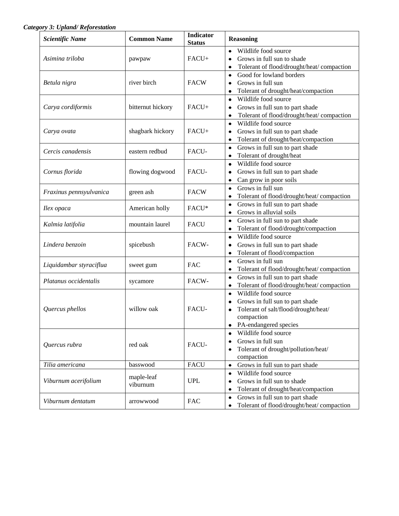*Category 3: Upland/ Reforestation*

| <b>Scientific Name</b>  | <b>Common Name</b>     | <b>Indicator</b><br><b>Status</b> | <b>Reasoning</b>                                                                                                                                         |
|-------------------------|------------------------|-----------------------------------|----------------------------------------------------------------------------------------------------------------------------------------------------------|
| Asimina triloba         | pawpaw                 | $FACU+$                           | Wildlife food source<br>$\bullet$<br>Grows in full sun to shade<br>٠<br>Tolerant of flood/drought/heat/ compaction                                       |
| Betula nigra            | river birch            | <b>FACW</b>                       | Good for lowland borders<br>$\bullet$<br>Grows in full sun<br>٠<br>Tolerant of drought/heat/compaction<br>٠                                              |
| Carya cordiformis       | bitternut hickory      | FACU+                             | Wildlife food source<br>٠<br>Grows in full sun to part shade<br>٠<br>Tolerant of flood/drought/heat/ compaction<br>٠                                     |
| Carya ovata             | shagbark hickory       | $FACU+$                           | Wildlife food source<br>$\bullet$<br>Grows in full sun to part shade<br>٠<br>Tolerant of drought/heat/compaction<br>٠                                    |
| Cercis canadensis       | eastern redbud         | FACU-                             | Grows in full sun to part shade<br>$\bullet$<br>Tolerant of drought/heat<br>٠                                                                            |
| Cornus florida          | flowing dogwood        | FACU-                             | Wildlife food source<br>$\bullet$<br>Grows in full sun to part shade<br>٠<br>Can grow in poor soils<br>$\bullet$                                         |
| Fraxinus pennsyulvanica | green ash              | <b>FACW</b>                       | Grows in full sun<br>$\bullet$<br>Tolerant of flood/drought/heat/ compaction                                                                             |
| Ilex opaca              | American holly         | FACU*                             | Grows in full sun to part shade<br>٠<br>Grows in alluvial soils<br>٠                                                                                     |
| Kalmia latifolia        | mountain laurel        | <b>FACU</b>                       | Grows in full sun to part shade<br>٠<br>Tolerant of flood/drought/compaction<br>٠                                                                        |
| Lindera benzoin         | spicebush              | FACW-                             | Wildlife food source<br>٠<br>Grows in full sun to part shade<br>٠<br>Tolerant of flood/compaction<br>٠                                                   |
| Liquidambar styraciflua | sweet gum              | <b>FAC</b>                        | Grows in full sun<br>$\bullet$<br>Tolerant of flood/drought/heat/ compaction                                                                             |
| Platanus occidentalis   | sycamore               | FACW-                             | Grows in full sun to part shade<br>٠<br>Tolerant of flood/drought/heat/compaction<br>٠                                                                   |
| Quercus phellos         | willow oak             | <b>FACU-</b>                      | Wildlife food source<br>$\bullet$<br>Grows in full sun to part shade<br>٠<br>Tolerant of salt/flood/drought/heat/<br>compaction<br>PA-endangered species |
| Quercus rubra           | red oak                | FACU-                             | Wildlife food source<br>$\bullet$<br>Grows in full sun<br>٠<br>Tolerant of drought/pollution/heat/<br>compaction                                         |
| Tilia americana         | basswood               | <b>FACU</b>                       | Grows in full sun to part shade<br>٠                                                                                                                     |
| Viburnum acerifolium    | maple-leaf<br>viburnum | <b>UPL</b>                        | Wildlife food source<br>٠<br>Grows in full sun to shade<br>٠<br>Tolerant of drought/heat/compaction<br>٠                                                 |
| Viburnum dentatum       | arrowwood              | <b>FAC</b>                        | Grows in full sun to part shade<br>٠<br>Tolerant of flood/drought/heat/ compaction<br>٠                                                                  |